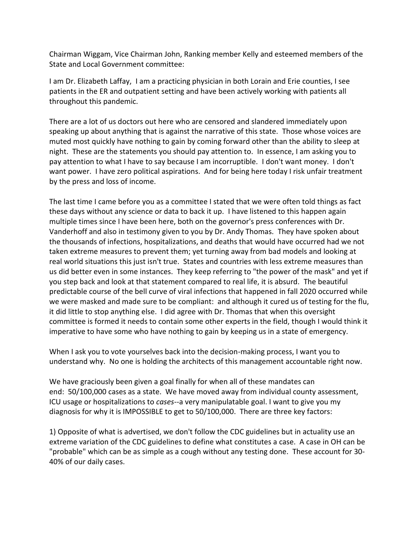Chairman Wiggam, Vice Chairman John, Ranking member Kelly and esteemed members of the State and Local Government committee:

I am Dr. Elizabeth Laffay, I am a practicing physician in both Lorain and Erie counties, I see patients in the ER and outpatient setting and have been actively working with patients all throughout this pandemic.

There are a lot of us doctors out here who are censored and slandered immediately upon speaking up about anything that is against the narrative of this state. Those whose voices are muted most quickly have nothing to gain by coming forward other than the ability to sleep at night. These are the statements you should pay attention to. In essence, I am asking you to pay attention to what I have to say because I am incorruptible. I don't want money. I don't want power. I have zero political aspirations. And for being here today I risk unfair treatment by the press and loss of income.

The last time I came before you as a committee I stated that we were often told things as fact these days without any science or data to back it up. I have listened to this happen again multiple times since I have been here, both on the governor's press conferences with Dr. Vanderhoff and also in testimony given to you by Dr. Andy Thomas. They have spoken about the thousands of infections, hospitalizations, and deaths that would have occurred had we not taken extreme measures to prevent them; yet turning away from bad models and looking at real world situations this just isn't true. States and countries with less extreme measures than us did better even in some instances. They keep referring to "the power of the mask" and yet if you step back and look at that statement compared to real life, it is absurd. The beautiful predictable course of the bell curve of viral infections that happened in fall 2020 occurred while we were masked and made sure to be compliant: and although it cured us of testing for the flu, it did little to stop anything else. I did agree with Dr. Thomas that when this oversight committee is formed it needs to contain some other experts in the field, though I would think it imperative to have some who have nothing to gain by keeping us in a state of emergency.

When I ask you to vote yourselves back into the decision-making process, I want you to understand why. No one is holding the architects of this management accountable right now.

We have graciously been given a goal finally for when all of these mandates can end: 50/100,000 cases as a state. We have moved away from individual county assessment, ICU usage or hospitalizations to *cases--*a very manipulatable goal. I want to give you my diagnosis for why it is IMPOSSIBLE to get to 50/100,000. There are three key factors:

1) Opposite of what is advertised, we don't follow the CDC guidelines but in actuality use an extreme variation of the CDC guidelines to define what constitutes a case. A case in OH can be "probable" which can be as simple as a cough without any testing done. These account for 30- 40% of our daily cases.